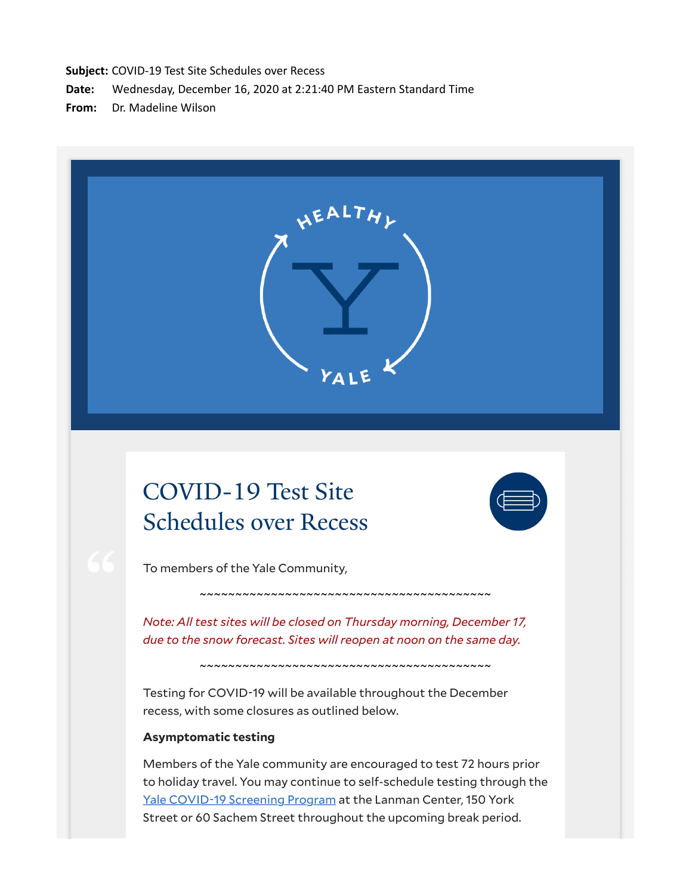**Subject:** COVID-19 Test Site Schedules over Recess

**Date:** Wednesday, December 16, 2020 at 2:21:40 PM Eastern Standard Time

**From:** Dr. Madeline Wilson

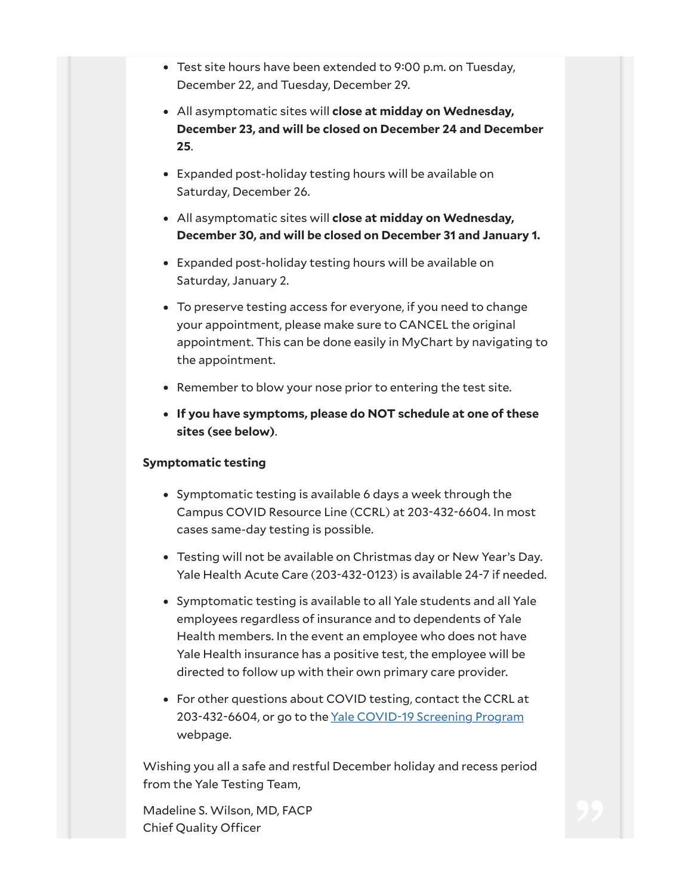- Test site hours have been extended to 9:00 p.m. on Tuesday, December 22, and Tuesday, December 29.
- All asymptomatic sites will **close at midday on Wednesday, December 23, and will be closed on December 24 and December 25**.
- Expanded post-holiday testing hours will be available on Saturday, December 26.
- All asymptomatic sites will **close at midday on Wednesday, December 30, and will be closed on December 31 and January 1.**
- Expanded post-holiday testing hours will be available on Saturday, January 2.
- To preserve testing access for everyone, if you need to change your appointment, please make sure to CANCEL the original appointment. This can be done easily in MyChart by navigating to the appointment.
- Remember to blow your nose prior to entering the test site.
- **If you have symptoms, please do NOT schedule at one of these sites (see below)**.

## **Symptomatic testing**

- Symptomatic testing is available 6 days a week through the Campus COVID Resource Line (CCRL) at 203-432-6604. In most cases same-day testing is possible.
- Testing will not be available on Christmas day or New Year's Day. Yale Health Acute Care (203-432-0123) is available 24-7 if needed.
- Symptomatic testing is available to all Yale students and all Yale employees regardless of insurance and to dependents of Yale Health members. In the event an employee who does not have Yale Health insurance has a positive test, the employee will be directed to follow up with their own primary care provider.
- For other questions about COVID testing, contact the CCRL at 203-432-6604, or go to the Yale COVID-19 Screening Program webpage.

Wishing you all a safe and restful December holiday and recess period from the Yale Testing Team,

Madeline S. Wilson, MD, FACP Chief Quality Officer